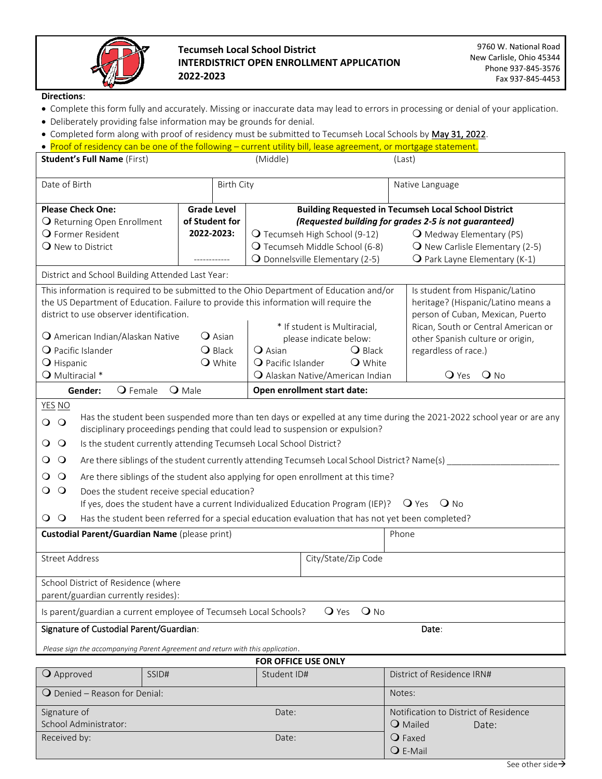

## **Tecumseh Local School District INTERDISTRICT OPEN ENROLLMENT APPLICATION 2022-2023**

**Directions**:

- Complete this form fully and accurately. Missing or inaccurate data may lead to errors in processing or denial of your application.
- Deliberately providing false information may be grounds for denial.
- Completed form along with proof of residency must be submitted to Tecumseh Local Schools by May 31, 2022.

| • Proof of residency can be one of the following - current utility bill, lease agreement, or mortgage statement.                                                                                                               |               |                                                             |                                          |                                                                        |
|--------------------------------------------------------------------------------------------------------------------------------------------------------------------------------------------------------------------------------|---------------|-------------------------------------------------------------|------------------------------------------|------------------------------------------------------------------------|
| <b>Student's Full Name (First)</b>                                                                                                                                                                                             |               | (Middle)                                                    |                                          | (Last)                                                                 |
| Date of Birth<br><b>Birth City</b>                                                                                                                                                                                             |               |                                                             |                                          | Native Language                                                        |
| <b>Please Check One:</b><br><b>Grade Level</b>                                                                                                                                                                                 |               | <b>Building Requested in Tecumseh Local School District</b> |                                          |                                                                        |
| of Student for<br>O Returning Open Enrollment                                                                                                                                                                                  |               | (Requested building for grades 2-5 is not guaranteed)       |                                          |                                                                        |
| 2022-2023:<br>O Former Resident                                                                                                                                                                                                |               | O Tecumseh High School (9-12)                               |                                          | O Medway Elementary (PS)                                               |
| O New to District                                                                                                                                                                                                              |               | O Tecumseh Middle School (6-8)                              |                                          | $\overline{Q}$ New Carlisle Elementary (2-5)                           |
|                                                                                                                                                                                                                                |               | O Donnelsville Elementary (2-5)                             |                                          | $\mathbf Q$ Park Layne Elementary (K-1)                                |
| District and School Building Attended Last Year:<br>This information is required to be submitted to the Ohio Department of Education and/or                                                                                    |               |                                                             |                                          |                                                                        |
|                                                                                                                                                                                                                                |               |                                                             | Is student from Hispanic/Latino          |                                                                        |
| the US Department of Education. Failure to provide this information will require the<br>district to use observer identification.                                                                                               |               |                                                             |                                          | heritage? (Hispanic/Latino means a<br>person of Cuban, Mexican, Puerto |
|                                                                                                                                                                                                                                |               | * If student is Multiracial,                                |                                          | Rican, South or Central American or                                    |
| O American Indian/Alaskan Native<br><b>Q</b> Asian                                                                                                                                                                             |               | please indicate below:                                      |                                          | other Spanish culture or origin,                                       |
| $Q$ Pacific Islander<br><b>O</b> Black                                                                                                                                                                                         |               | $\Omega$ Asian                                              | regardless of race.)<br>$\bigcirc$ Black |                                                                        |
| <b>O</b> Hispanic<br><b>O</b> White                                                                                                                                                                                            |               | O Pacific Islander                                          | <b>Q</b> White                           |                                                                        |
| O Multiracial *                                                                                                                                                                                                                |               | O Alaskan Native/American Indian                            |                                          | $Q$ No<br>$\mathbf{\mathsf{Q}}$ Yes                                    |
| $Q$ Female<br>Gender:                                                                                                                                                                                                          | <b>O</b> Male | Open enrollment start date:                                 |                                          |                                                                        |
| <b>YES NO</b>                                                                                                                                                                                                                  |               |                                                             |                                          |                                                                        |
| Has the student been suspended more than ten days or expelled at any time during the 2021-2022 school year or are any<br>$\circ$<br>$\bigcirc$<br>disciplinary proceedings pending that could lead to suspension or expulsion? |               |                                                             |                                          |                                                                        |
| $\circ$<br>Is the student currently attending Tecumseh Local School District?<br>$\mathsf{C}$                                                                                                                                  |               |                                                             |                                          |                                                                        |
| $\circ$<br>Are there siblings of the student currently attending Tecumseh Local School District? Name(s) _____<br>Ő                                                                                                            |               |                                                             |                                          |                                                                        |
| $\circ$<br>Are there siblings of the student also applying for open enrollment at this time?<br>$\mathbf{O}$                                                                                                                   |               |                                                             |                                          |                                                                        |
| $\circ$<br>$\circ$<br>Does the student receive special education?                                                                                                                                                              |               |                                                             |                                          |                                                                        |
| If yes, does the student have a current Individualized Education Program (IEP)? $\bigcirc$ Yes<br>$\bigcirc$ No                                                                                                                |               |                                                             |                                          |                                                                        |
| $\overline{O}$ O<br>Has the student been referred for a special education evaluation that has not yet been completed?                                                                                                          |               |                                                             |                                          |                                                                        |
| Custodial Parent/Guardian Name (please print)                                                                                                                                                                                  |               | Phone                                                       |                                          |                                                                        |
| <b>Street Address</b>                                                                                                                                                                                                          |               | City/State/Zip Code                                         |                                          |                                                                        |
|                                                                                                                                                                                                                                |               |                                                             |                                          |                                                                        |
| School District of Residence (where<br>parent/guardian currently resides):                                                                                                                                                     |               |                                                             |                                          |                                                                        |
| Is parent/guardian a current employee of Tecumseh Local Schools?<br>$\mathsf{Q}$ Yes<br>$\bigcirc$ No                                                                                                                          |               |                                                             |                                          |                                                                        |
| Signature of Custodial Parent/Guardian:<br>Date:                                                                                                                                                                               |               |                                                             |                                          |                                                                        |
| Please sign the accompanying Parent Agreement and return with this application.                                                                                                                                                |               |                                                             |                                          |                                                                        |
| FOR OFFICE USE ONLY                                                                                                                                                                                                            |               |                                                             |                                          |                                                                        |
| O Approved<br>SSID#                                                                                                                                                                                                            |               | Student ID#                                                 |                                          | District of Residence IRN#                                             |
| $\mathbf Q$ Denied – Reason for Denial:                                                                                                                                                                                        |               |                                                             |                                          | Notes:                                                                 |
| Signature of                                                                                                                                                                                                                   | Date:         |                                                             | Notification to District of Residence    |                                                                        |
| School Administrator:                                                                                                                                                                                                          |               |                                                             | <b>Q</b> Mailed<br>Date:                 |                                                                        |
| Received by:                                                                                                                                                                                                                   |               | Date:                                                       |                                          | $\mathbf Q$ Faxed                                                      |

E-Mail